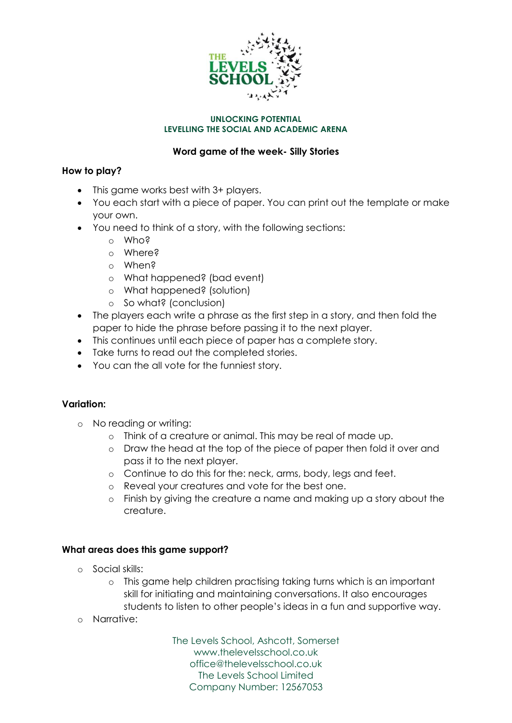

#### **UNLOCKING POTENTIAL LEVELLING THE SOCIAL AND ACADEMIC ARENA**

# **Word game of the week- Silly Stories**

### **How to play?**

- This game works best with 3+ players.
- You each start with a piece of paper. You can print out the template or make your own.
- You need to think of a story, with the following sections:
	- o Who?
	- o Where?
	- o When?
	- o What happened? (bad event)
	- o What happened? (solution)
	- o So what? (conclusion)
- The players each write a phrase as the first step in a story, and then fold the paper to hide the phrase before passing it to the next player.
- This continues until each piece of paper has a complete story.
- Take turns to read out the completed stories.
- You can the all vote for the funniest story.

## **Variation:**

- o No reading or writing:
	- o Think of a creature or animal. This may be real of made up.
	- o Draw the head at the top of the piece of paper then fold it over and pass it to the next player.
	- o Continue to do this for the: neck, arms, body, legs and feet.
	- o Reveal your creatures and vote for the best one.
	- o Finish by giving the creature a name and making up a story about the creature.

## **What areas does this game support?**

- o Social skills:
	- o This game help children practising taking turns which is an important skill for initiating and maintaining conversations. It also encourages students to listen to other people's ideas in a fun and supportive way.
- o Narrative:

The Levels School, Ashcott, Somerset www.thelevelsschool.co.uk office@thelevelsschool.co.uk The Levels School Limited Company Number: 12567053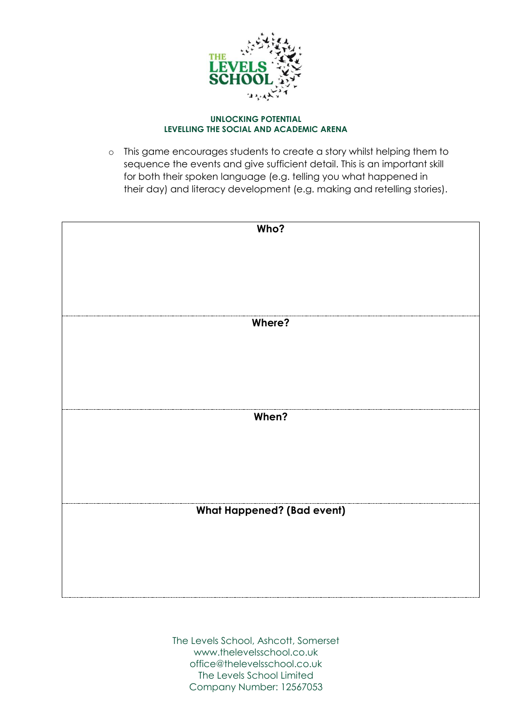

#### **UNLOCKING POTENTIAL LEVELLING THE SOCIAL AND ACADEMIC ARENA**

o This game encourages students to create a story whilst helping them to sequence the events and give sufficient detail. This is an important skill for both their spoken language (e.g. telling you what happened in their day) and literacy development (e.g. making and retelling stories).

| Who?                              |
|-----------------------------------|
|                                   |
|                                   |
|                                   |
|                                   |
| Where?                            |
|                                   |
|                                   |
|                                   |
|                                   |
| When?                             |
|                                   |
|                                   |
|                                   |
|                                   |
| <b>What Happened? (Bad event)</b> |
|                                   |
|                                   |
|                                   |
|                                   |

The Levels School, Ashcott, Somerset www.thelevelsschool.co.uk office@thelevelsschool.co.uk The Levels School Limited Company Number: 12567053